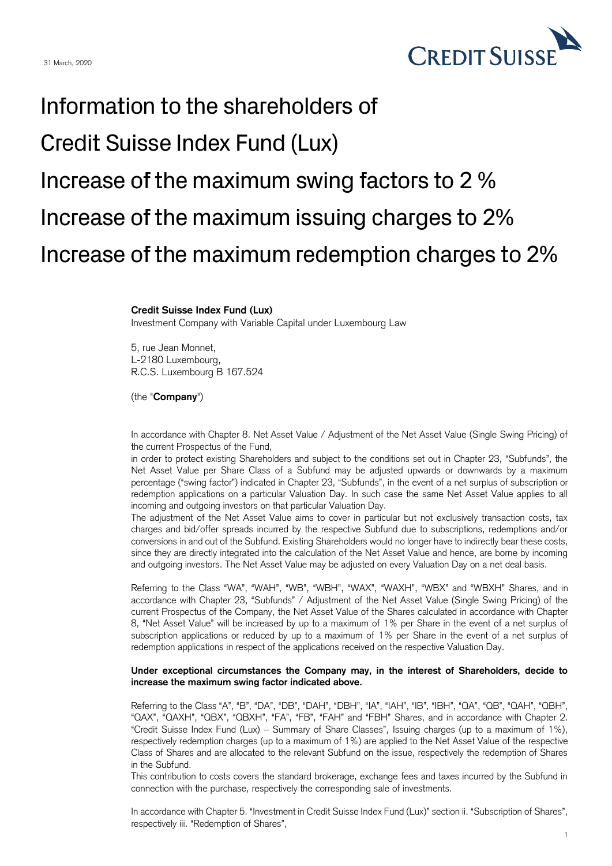

## Information to the shareholders of Credit Suisse Index Fund (Lux) Increase of the maximum swing factors to 2 % Increase of the maximum issuing charges to 2% Increase of the maximum redemption charges to 2%

## **Credit Suisse Index Fund (Lux)**

Investment Company with Variable Capital under Luxembourg Law

5, rue Jean Monnet, L-2180 Luxembourg, R.C.S. Luxembourg B 167.524

(the "**Company**")

In accordance with Chapter 8. Net Asset Value / Adjustment of the Net Asset Value (Single Swing Pricing) of the current Prospectus of the Fund,

in order to protect existing Shareholders and subject to the conditions set out in Chapter 23, "Subfunds", the Net Asset Value per Share Class of a Subfund may be adjusted upwards or downwards by a maximum percentage ("swing factor") indicated in Chapter 23, "Subfunds", in the event of a net surplus of subscription or redemption applications on a particular Valuation Day. In such case the same Net Asset Value applies to all incoming and outgoing investors on that particular Valuation Day.

The adjustment of the Net Asset Value aims to cover in particular but not exclusively transaction costs, tax charges and bid/offer spreads incurred by the respective Subfund due to subscriptions, redemptions and/or conversions in and out of the Subfund. Existing Shareholders would no longer have to indirectly bear these costs, since they are directly integrated into the calculation of the Net Asset Value and hence, are borne by incoming and outgoing investors. The Net Asset Value may be adjusted on every Valuation Day on a net deal basis.

Referring to the Class "WA", "WAH", "WB", "WBH", "WAX", "WAXH", "WBX" and "WBXH" Shares, and in accordance with Chapter 23, "Subfunds" / Adjustment of the Net Asset Value (Single Swing Pricing) of the current Prospectus of the Company, the Net Asset Value of the Shares calculated in accordance with Chapter 8, "Net Asset Value" will be increased by up to a maximum of 1% per Share in the event of a net surplus of subscription applications or reduced by up to a maximum of 1% per Share in the event of a net surplus of redemption applications in respect of the applications received on the respective Valuation Day.

## **Under exceptional circumstances the Company may, in the interest of Shareholders, decide to increase the maximum swing factor indicated above.**

Referring to the Class "A", "B", "DA", "DB", "DAH", "DBH", "IA", "IAH", "IB", "IBH", "QA", "QB", "QAH", "QBH", "QAX", "QAXH", "QBX", "QBXH", "FA", "FB", "FAH" and "FBH" Shares, and in accordance with Chapter 2. "Credit Suisse Index Fund (Lux) – Summary of Share Classes", Issuing charges (up to a maximum of 1%), respectively redemption charges (up to a maximum of 1%) are applied to the Net Asset Value of the respective Class of Shares and are allocated to the relevant Subfund on the issue, respectively the redemption of Shares in the Subfund.

This contribution to costs covers the standard brokerage, exchange fees and taxes incurred by the Subfund in connection with the purchase, respectively the corresponding sale of investments.

In accordance with Chapter 5. "Investment in Credit Suisse Index Fund (Lux)" section ii. "Subscription of Shares", respectively iii. "Redemption of Shares",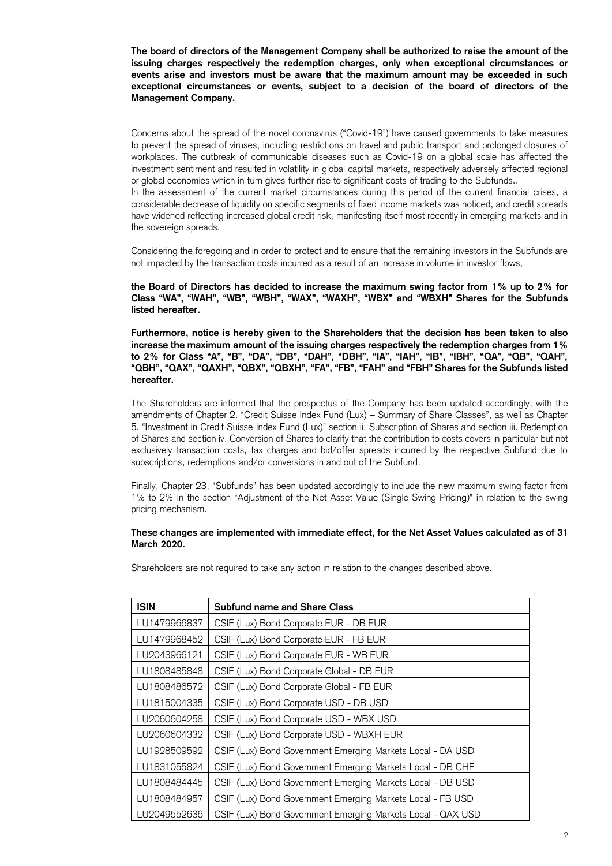**The board of directors of the Management Company shall be authorized to raise the amount of the issuing charges respectively the redemption charges, only when exceptional circumstances or events arise and investors must be aware that the maximum amount may be exceeded in such exceptional circumstances or events, subject to a decision of the board of directors of the Management Company.** 

Concerns about the spread of the novel coronavirus ("Covid-19") have caused governments to take measures to prevent the spread of viruses, including restrictions on travel and public transport and prolonged closures of workplaces. The outbreak of communicable diseases such as Covid-19 on a global scale has affected the investment sentiment and resulted in volatility in global capital markets, respectively adversely affected regional or global economies which in turn gives further rise to significant costs of trading to the Subfunds..

In the assessment of the current market circumstances during this period of the current financial crises, a considerable decrease of liquidity on specific segments of fixed income markets was noticed, and credit spreads have widened reflecting increased global credit risk, manifesting itself most recently in emerging markets and in the sovereign spreads.

Considering the foregoing and in order to protect and to ensure that the remaining investors in the Subfunds are not impacted by the transaction costs incurred as a result of an increase in volume in investor flows,

**the Board of Directors has decided to increase the maximum swing factor from 1% up to 2% for Class "WA", "WAH", "WB", "WBH", "WAX", "WAXH", "WBX" and "WBXH" Shares for the Subfunds listed hereafter.**

**Furthermore, notice is hereby given to the Shareholders that the decision has been taken to also increase the maximum amount of the issuing charges respectively the redemption charges from 1% to 2% for Class "A", "B", "DA", "DB", "DAH", "DBH", "IA", "IAH", "IB", "IBH", "QA", "QB", "QAH", "QBH", "QAX", "QAXH", "QBX", "QBXH", "FA", "FB", "FAH" and "FBH" Shares for the Subfunds listed hereafter.**

The Shareholders are informed that the prospectus of the Company has been updated accordingly, with the amendments of Chapter 2. "Credit Suisse Index Fund (Lux) – Summary of Share Classes", as well as Chapter 5. "Investment in Credit Suisse Index Fund (Lux)" section ii. Subscription of Shares and section iii. Redemption of Shares and section iv. Conversion of Shares to clarify that the contribution to costs covers in particular but not exclusively transaction costs, tax charges and bid/offer spreads incurred by the respective Subfund due to subscriptions, redemptions and/or conversions in and out of the Subfund.

Finally, Chapter 23, "Subfunds" has been updated accordingly to include the new maximum swing factor from 1% to 2% in the section "Adjustment of the Net Asset Value (Single Swing Pricing)" in relation to the swing pricing mechanism.

## **These changes are implemented with immediate effect, for the Net Asset Values calculated as of 31 March 2020.**

Shareholders are not required to take any action in relation to the changes described above.

| <b>ISIN</b>  | <b>Subfund name and Share Class</b>                         |
|--------------|-------------------------------------------------------------|
| LU1479966837 | CSIF (Lux) Bond Corporate EUR - DB EUR                      |
| LU1479968452 | CSIF (Lux) Bond Corporate EUR - FB EUR                      |
| LU2043966121 | CSIF (Lux) Bond Corporate EUR - WB EUR                      |
| LU1808485848 | CSIF (Lux) Bond Corporate Global - DB EUR                   |
| LU1808486572 | CSIF (Lux) Bond Corporate Global - FB EUR                   |
| LU1815004335 | CSIF (Lux) Bond Corporate USD - DB USD                      |
| LU2060604258 | CSIF (Lux) Bond Corporate USD - WBX USD                     |
| LU2060604332 | CSIF (Lux) Bond Corporate USD - WBXH EUR                    |
| LU1928509592 | CSIF (Lux) Bond Government Emerging Markets Local - DA USD  |
| LU1831055824 | CSIF (Lux) Bond Government Emerging Markets Local - DB CHF  |
| LU1808484445 | CSIF (Lux) Bond Government Emerging Markets Local - DB USD  |
| LU1808484957 | CSIF (Lux) Bond Government Emerging Markets Local - FB USD  |
| LU2049552636 | CSIF (Lux) Bond Government Emerging Markets Local - QAX USD |